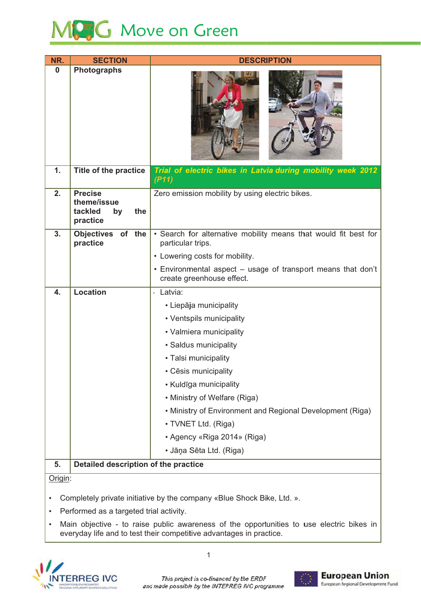

| NR.      | <b>SECTION</b>                                                         | <b>DESCRIPTION</b>                                                                        |  |  |
|----------|------------------------------------------------------------------------|-------------------------------------------------------------------------------------------|--|--|
| $\bf{0}$ | <b>Photographs</b>                                                     |                                                                                           |  |  |
| 1.       | <b>Title of the practice</b>                                           | Trial of electric bikes in Latvia during mobility week 2012<br>(P11)                      |  |  |
| 2.       | <b>Precise</b><br>theme/issue<br>tackled<br>by<br>the<br>practice      | Zero emission mobility by using electric bikes.                                           |  |  |
| 3.       | Objectives of the<br>practice                                          | • Search for alternative mobility means that would fit best for<br>particular trips.      |  |  |
|          |                                                                        | • Lowering costs for mobility.                                                            |  |  |
|          |                                                                        | • Environmental aspect – usage of transport means that don't<br>create greenhouse effect. |  |  |
| 4.       | <b>Location</b>                                                        | Latvia:                                                                                   |  |  |
|          |                                                                        | • Liepāja municipality                                                                    |  |  |
|          |                                                                        | • Ventspils municipality                                                                  |  |  |
|          |                                                                        | • Valmiera municipality                                                                   |  |  |
|          |                                                                        | • Saldus municipality                                                                     |  |  |
|          |                                                                        | • Talsi municipality                                                                      |  |  |
|          |                                                                        | • Cēsis municipality                                                                      |  |  |
|          |                                                                        | • Kuldīga municipality                                                                    |  |  |
|          |                                                                        | • Ministry of Welfare (Riga)                                                              |  |  |
|          |                                                                        | • Ministry of Environment and Regional Development (Riga)                                 |  |  |
|          |                                                                        | • TVNET Ltd. (Riga)                                                                       |  |  |
|          |                                                                        | • Agency «Riga 2014» (Riga)                                                               |  |  |
|          |                                                                        | • Jāņa Sēta Ltd. (Riga)                                                                   |  |  |
| 5.       | Detailed description of the practice                                   |                                                                                           |  |  |
| Origin:  |                                                                        |                                                                                           |  |  |
|          | Completely private initiative by the company «Blue Shock Bike, Ltd. ». |                                                                                           |  |  |

- Performed as a targeted trial activity.
- Main objective to raise public awareness of the opportunities to use electric bikes in  $\bullet$ everyday life and to test their competitive advantages in practice.

 $\overline{1}$ 



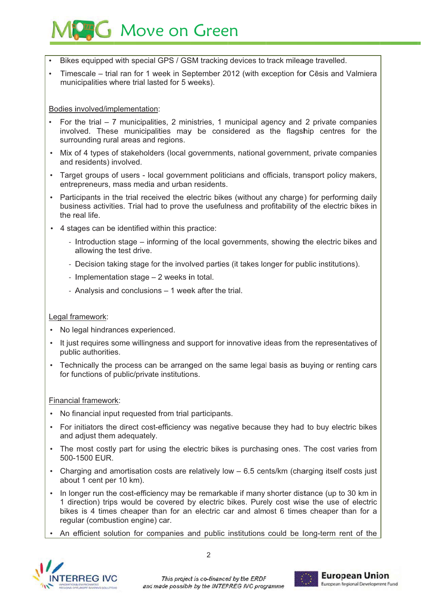

- Bikes equipped with special GPS / GSM tracking devices to track mileage travelled.
- Timescale trial ran for 1 week in September 2012 (with exception for Cēsis and Valmiera municipalities where trial lasted for 5 weeks).

## Bodies involved/implementation:

- For the trial  $-7$  municipalities, 2 ministries, 1 municipal agency and 2 private companies involved. These municipalities may be considered as the flagship centres for the surrounding rural areas and regions.
- Mix of 4 types of stakeholders (local governments, national government, private companies and residents) involved.
- Target groups of users local government politicians and officials, transport policy makers, entrepreneurs, mass media and urban residents.
- Participants in the trial received the electric bikes (without any charge) for performing daily business activities. Trial had to prove the usefulness and profitability of the electric bikes in the real life.
- 4 stages can be identified within this practice:
	- Introduction stage informing of the local governments, showing the electric bikes and allowing the test drive.
	- Decision taking stage for the involved parties (it takes longer for public institutions).
	- Implementation stage 2 weeks in total.
	- Analysis and conclusions 1 week after the trial.

## Legal framework:

- No legal hindrances experienced.
- It just requires some willingness and support for innovative ideas from the representatives of public authorities.
- Technically the process can be arranged on the same legal basis as buying or renting cars for functions of public/private institutions.

## Financial framework:

- No financial input requested from trial participants.
- For initiators the direct cost-efficiency was negative because they had to buy electric bikes and adjust them adequately.
- The most costly part for using the electric bikes is purchasing ones. The cost varies from 500-1500 EUR.
- Charging and amortisation costs are relatively low 6.5 cents/km (charging itself costs just about 1 cent per 10 km).
- In longer run the cost-efficiency may be remarkable if many shorter distance (up to 30 km in 1 direction) trips would be covered by electric bikes. Purely cost wise the use of electric bikes is 4 times cheaper than for an electric car and almost 6 times cheaper than for a regular (combustion engine) car.
- An efficient solution for companies and public institutions could be long-term rent of the